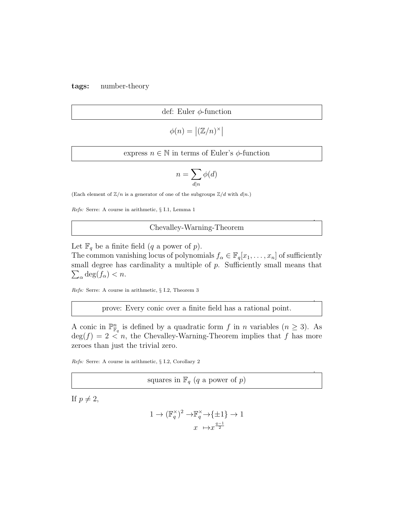tags: number-theory

def: Euler  $\phi$ -function

$$
\phi(n) = \left| (\mathbb{Z}/n)^\times \right|
$$

express  $n \in \mathbb{N}$  in terms of Euler's  $\phi$ -function

$$
n = \sum_{d|n} \phi(d)
$$

(Each element of  $\mathbb{Z}/n$  is a generator of one of the subgroups  $\mathbb{Z}/d$  with  $d|n$ .)

Refs: Serre: A course in arithmetic, § I.1, Lemma 1

## Chevalley-Warning-Theorem

.

.

.

Let  $\mathbb{F}_q$  be a finite field  $(q$  a power of p).

The common vanishing locus of polynomials  $f_{\alpha} \in \mathbb{F}_q[x_1, \ldots, x_n]$  of sufficiently  $\sum_{\alpha} \deg(f_{\alpha}) < n.$ small degree has cardinality a multiple of  $p$ . Sufficiently small means that

Refs: Serre: A course in arithmetic, § I.2, Theorem 3

prove: Every conic over a finite field has a rational point.

A conic in  $\mathbb{P}^n_{\mathbb{F}_q}$  is defined by a quadratic form f in n variables  $(n \geq 3)$ . As  $\deg(f) = 2 < n$ , the Chevalley-Warning-Theorem implies that f has more zeroes than just the trivial zero.

Refs: Serre: A course in arithmetic, § I.2, Corollary 2

squares in  $\mathbb{F}_q$  (q a power of p)

If  $p \neq 2$ ,

$$
1 \to (\mathbb{F}_q^{\times})^2 \to \mathbb{F}_q^{\times} \to {\{\pm 1\}} \to 1
$$

$$
x \mapsto x^{\frac{q-1}{2}}
$$